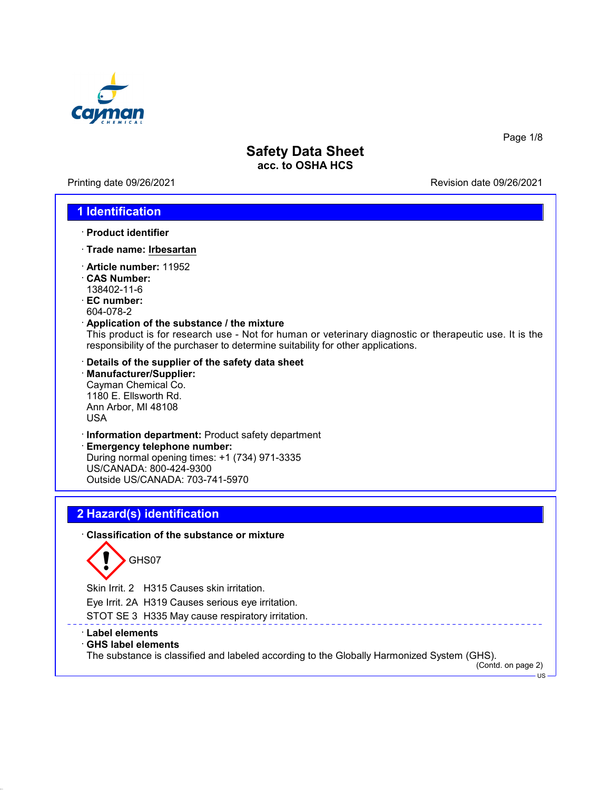

Printing date 09/26/2021 **Printing date 09/26/2021** 

### **1 Identification**

- · **Product identifier**
- · **Trade name: Irbesartan**
- · **Article number:** 11952
- · **CAS Number:**
- 138402-11-6
- · **EC number:** 604-078-2

#### · **Application of the substance / the mixture**

This product is for research use - Not for human or veterinary diagnostic or therapeutic use. It is the responsibility of the purchaser to determine suitability for other applications.

- · **Details of the supplier of the safety data sheet**
- · **Manufacturer/Supplier:** Cayman Chemical Co. 1180 E. Ellsworth Rd. Ann Arbor, MI 48108 USA
- · **Information department:** Product safety department

· **Emergency telephone number:** During normal opening times: +1 (734) 971-3335 US/CANADA: 800-424-9300 Outside US/CANADA: 703-741-5970

# **2 Hazard(s) identification**

#### · **Classification of the substance or mixture**



Skin Irrit. 2 H315 Causes skin irritation.

Eye Irrit. 2A H319 Causes serious eye irritation.

- STOT SE 3 H335 May cause respiratory irritation.
- · **Label elements**
- · **GHS label elements**

The substance is classified and labeled according to the Globally Harmonized System (GHS).

(Contd. on page 2)  $\overline{u}$ 

Page 1/8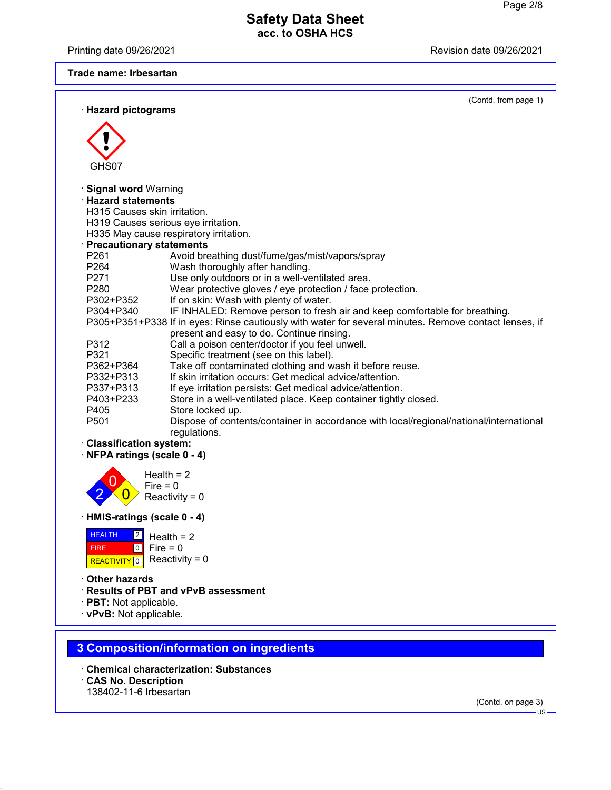Printing date 09/26/2021 **Printing date 09/26/2021** 

#### **Trade name: Irbesartan**

| <b>Hazard pictograms</b>        | (Contd. from page 1)                                                                                  |
|---------------------------------|-------------------------------------------------------------------------------------------------------|
| GHS07                           |                                                                                                       |
| · Signal word Warning           |                                                                                                       |
| $\cdot$ Hazard statements       |                                                                                                       |
| H315 Causes skin irritation.    |                                                                                                       |
|                                 | H319 Causes serious eve irritation.                                                                   |
|                                 | H335 May cause respiratory irritation.                                                                |
| <b>Precautionary statements</b> |                                                                                                       |
| P261                            | Avoid breathing dust/fume/gas/mist/vapors/spray                                                       |
| P264                            | Wash thoroughly after handling.                                                                       |
| P271                            | Use only outdoors or in a well-ventilated area.                                                       |
| P <sub>280</sub>                | Wear protective gloves / eye protection / face protection.                                            |
| P302+P352                       | If on skin: Wash with plenty of water.                                                                |
| P304+P340                       | IF INHALED: Remove person to fresh air and keep comfortable for breathing.                            |
|                                 | P305+P351+P338 If in eyes: Rinse cautiously with water for several minutes. Remove contact lenses, if |
|                                 | present and easy to do. Continue rinsing.                                                             |
| P312                            | Call a poison center/doctor if you feel unwell.                                                       |
| P321                            | Specific treatment (see on this label).                                                               |
| P362+P364                       | Take off contaminated clothing and wash it before reuse.                                              |
| P332+P313                       | If skin irritation occurs: Get medical advice/attention.                                              |
| P337+P313                       | If eye irritation persists: Get medical advice/attention.                                             |
| P403+P233                       | Store in a well-ventilated place. Keep container tightly closed.                                      |
| P405                            | Store locked up.                                                                                      |
| P <sub>501</sub>                | Dispose of contents/container in accordance with local/regional/national/international                |
| · Claeeification evetom·        | regulations.                                                                                          |

#### · **Classification system:**

· **NFPA ratings (scale 0 - 4)**



· **HMIS-ratings (scale 0 - 4)**



· **Other hazards**

- · **Results of PBT and vPvB assessment**
- · **PBT:** Not applicable.
- · **vPvB:** Not applicable.

# **3 Composition/information on ingredients**

- · **Chemical characterization: Substances**
- · **CAS No. Description**
- 138402-11-6 Irbesartan

(Contd. on page 3)

US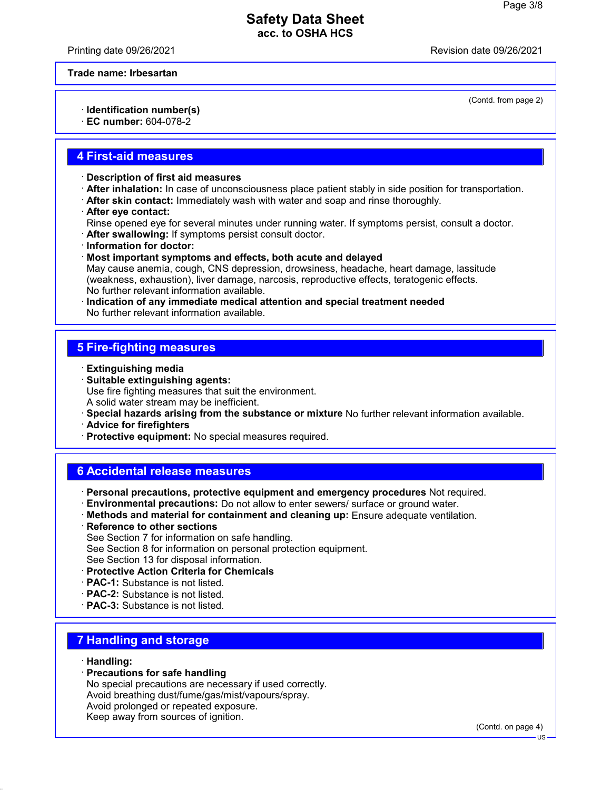Printing date 09/26/2021 Revision date 09/26/2021

(Contd. from page 2)

**Trade name: Irbesartan**

· **Identification number(s)**

· **EC number:** 604-078-2

### **4 First-aid measures**

- · **Description of first aid measures**
- · **After inhalation:** In case of unconsciousness place patient stably in side position for transportation.
- · **After skin contact:** Immediately wash with water and soap and rinse thoroughly.
- · **After eye contact:**
- Rinse opened eye for several minutes under running water. If symptoms persist, consult a doctor.
- · **After swallowing:** If symptoms persist consult doctor.
- · **Information for doctor:**
- · **Most important symptoms and effects, both acute and delayed**
- May cause anemia, cough, CNS depression, drowsiness, headache, heart damage, lassitude (weakness, exhaustion), liver damage, narcosis, reproductive effects, teratogenic effects. No further relevant information available.
- · **Indication of any immediate medical attention and special treatment needed** No further relevant information available.

# **5 Fire-fighting measures**

- · **Extinguishing media**
- · **Suitable extinguishing agents:** Use fire fighting measures that suit the environment. A solid water stream may be inefficient.
- · **Special hazards arising from the substance or mixture** No further relevant information available.
- · **Advice for firefighters**
- · **Protective equipment:** No special measures required.

### **6 Accidental release measures**

· **Personal precautions, protective equipment and emergency procedures** Not required.

- · **Environmental precautions:** Do not allow to enter sewers/ surface or ground water.
- · **Methods and material for containment and cleaning up:** Ensure adequate ventilation.
- · **Reference to other sections** See Section 7 for information on safe handling.
- See Section 8 for information on personal protection equipment.
- See Section 13 for disposal information.
- · **Protective Action Criteria for Chemicals**
- · **PAC-1:** Substance is not listed.
- · **PAC-2:** Substance is not listed.
- · **PAC-3:** Substance is not listed.

# **7 Handling and storage**

- · **Handling:**
- · **Precautions for safe handling**

No special precautions are necessary if used correctly. Avoid breathing dust/fume/gas/mist/vapours/spray. Avoid prolonged or repeated exposure. Keep away from sources of ignition.

(Contd. on page 4)

US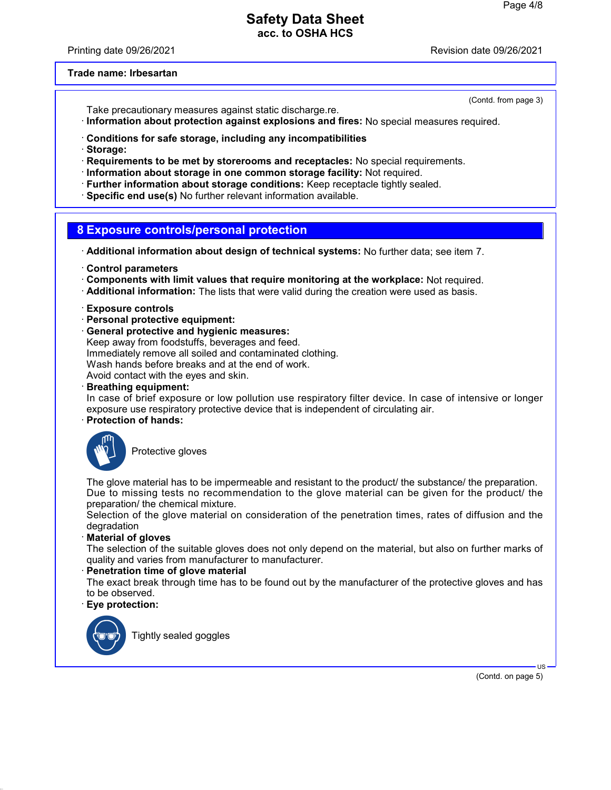Printing date 09/26/2021 Revision date 09/26/2021

(Contd. from page 3)

#### **Trade name: Irbesartan**

Take precautionary measures against static discharge.re.

- · **Information about protection against explosions and fires:** No special measures required.
- · **Conditions for safe storage, including any incompatibilities**
- · **Storage:**
- · **Requirements to be met by storerooms and receptacles:** No special requirements.
- · **Information about storage in one common storage facility:** Not required.
- · **Further information about storage conditions:** Keep receptacle tightly sealed.
- · **Specific end use(s)** No further relevant information available.

### **8 Exposure controls/personal protection**

- · **Additional information about design of technical systems:** No further data; see item 7.
- · **Control parameters**
- · **Components with limit values that require monitoring at the workplace:** Not required.
- · **Additional information:** The lists that were valid during the creation were used as basis.
- · **Exposure controls**
- · **Personal protective equipment:**
- · **General protective and hygienic measures:** Keep away from foodstuffs, beverages and feed. Immediately remove all soiled and contaminated clothing. Wash hands before breaks and at the end of work. Avoid contact with the eyes and skin.

· **Breathing equipment:**

In case of brief exposure or low pollution use respiratory filter device. In case of intensive or longer exposure use respiratory protective device that is independent of circulating air.

· **Protection of hands:**



Protective gloves

The glove material has to be impermeable and resistant to the product/ the substance/ the preparation. Due to missing tests no recommendation to the glove material can be given for the product/ the preparation/ the chemical mixture.

Selection of the glove material on consideration of the penetration times, rates of diffusion and the degradation

· **Material of gloves**

The selection of the suitable gloves does not only depend on the material, but also on further marks of quality and varies from manufacturer to manufacturer.

**Penetration time of glove material** 

The exact break through time has to be found out by the manufacturer of the protective gloves and has to be observed.

· **Eye protection:**



Tightly sealed goggles

(Contd. on page 5)

US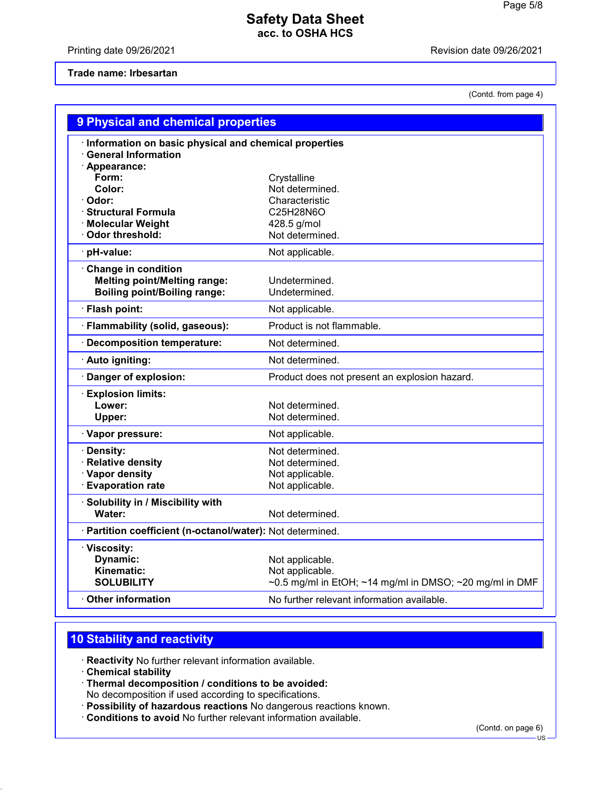Printing date 09/26/2021 **Printing date 09/26/2021** 

#### **Trade name: Irbesartan**

(Contd. from page 4)

| · Information on basic physical and chemical properties<br><b>General Information</b><br>· Appearance:<br>Form:<br>Crystalline<br>Not determined.<br>Color:<br>· Odor:<br>Characteristic<br>· Structural Formula<br>C25H28N6O<br>· Molecular Weight<br>428.5 g/mol<br>· Odor threshold:<br>Not determined.<br>pH-value:<br>Not applicable.<br>Change in condition<br><b>Melting point/Melting range:</b><br>Undetermined.<br><b>Boiling point/Boiling range:</b><br>Undetermined.<br>· Flash point:<br>Not applicable.<br>Product is not flammable.<br>· Flammability (solid, gaseous):<br>· Decomposition temperature:<br>Not determined.<br>· Auto igniting:<br>Not determined.<br>Danger of explosion:<br>Product does not present an explosion hazard.<br><b>Explosion limits:</b><br>Lower:<br>Not determined.<br>Not determined.<br>Upper:<br>· Vapor pressure:<br>Not applicable.<br>· Density:<br>Not determined.<br>· Relative density<br>Not determined.<br>· Vapor density<br>Not applicable.<br><b>Evaporation rate</b><br>Not applicable.<br>· Solubility in / Miscibility with<br>Water:<br>Not determined.<br>· Partition coefficient (n-octanol/water): Not determined.<br>· Viscosity:<br>Dynamic:<br>Not applicable.<br>Kinematic:<br>Not applicable.<br><b>SOLUBILITY</b><br>$\sim$ 0.5 mg/ml in EtOH; $\sim$ 14 mg/ml in DMSO; $\sim$ 20 mg/ml in DMF<br>$\cdot$ Other information<br>No further relevant information available. | 9 Physical and chemical properties |  |  |  |
|------------------------------------------------------------------------------------------------------------------------------------------------------------------------------------------------------------------------------------------------------------------------------------------------------------------------------------------------------------------------------------------------------------------------------------------------------------------------------------------------------------------------------------------------------------------------------------------------------------------------------------------------------------------------------------------------------------------------------------------------------------------------------------------------------------------------------------------------------------------------------------------------------------------------------------------------------------------------------------------------------------------------------------------------------------------------------------------------------------------------------------------------------------------------------------------------------------------------------------------------------------------------------------------------------------------------------------------------------------------------------------------------------------------------------------------------------|------------------------------------|--|--|--|
|                                                                                                                                                                                                                                                                                                                                                                                                                                                                                                                                                                                                                                                                                                                                                                                                                                                                                                                                                                                                                                                                                                                                                                                                                                                                                                                                                                                                                                                      |                                    |  |  |  |
|                                                                                                                                                                                                                                                                                                                                                                                                                                                                                                                                                                                                                                                                                                                                                                                                                                                                                                                                                                                                                                                                                                                                                                                                                                                                                                                                                                                                                                                      |                                    |  |  |  |
|                                                                                                                                                                                                                                                                                                                                                                                                                                                                                                                                                                                                                                                                                                                                                                                                                                                                                                                                                                                                                                                                                                                                                                                                                                                                                                                                                                                                                                                      |                                    |  |  |  |
|                                                                                                                                                                                                                                                                                                                                                                                                                                                                                                                                                                                                                                                                                                                                                                                                                                                                                                                                                                                                                                                                                                                                                                                                                                                                                                                                                                                                                                                      |                                    |  |  |  |
|                                                                                                                                                                                                                                                                                                                                                                                                                                                                                                                                                                                                                                                                                                                                                                                                                                                                                                                                                                                                                                                                                                                                                                                                                                                                                                                                                                                                                                                      |                                    |  |  |  |
|                                                                                                                                                                                                                                                                                                                                                                                                                                                                                                                                                                                                                                                                                                                                                                                                                                                                                                                                                                                                                                                                                                                                                                                                                                                                                                                                                                                                                                                      |                                    |  |  |  |
|                                                                                                                                                                                                                                                                                                                                                                                                                                                                                                                                                                                                                                                                                                                                                                                                                                                                                                                                                                                                                                                                                                                                                                                                                                                                                                                                                                                                                                                      |                                    |  |  |  |
|                                                                                                                                                                                                                                                                                                                                                                                                                                                                                                                                                                                                                                                                                                                                                                                                                                                                                                                                                                                                                                                                                                                                                                                                                                                                                                                                                                                                                                                      |                                    |  |  |  |
|                                                                                                                                                                                                                                                                                                                                                                                                                                                                                                                                                                                                                                                                                                                                                                                                                                                                                                                                                                                                                                                                                                                                                                                                                                                                                                                                                                                                                                                      |                                    |  |  |  |
|                                                                                                                                                                                                                                                                                                                                                                                                                                                                                                                                                                                                                                                                                                                                                                                                                                                                                                                                                                                                                                                                                                                                                                                                                                                                                                                                                                                                                                                      |                                    |  |  |  |
|                                                                                                                                                                                                                                                                                                                                                                                                                                                                                                                                                                                                                                                                                                                                                                                                                                                                                                                                                                                                                                                                                                                                                                                                                                                                                                                                                                                                                                                      |                                    |  |  |  |
|                                                                                                                                                                                                                                                                                                                                                                                                                                                                                                                                                                                                                                                                                                                                                                                                                                                                                                                                                                                                                                                                                                                                                                                                                                                                                                                                                                                                                                                      |                                    |  |  |  |
|                                                                                                                                                                                                                                                                                                                                                                                                                                                                                                                                                                                                                                                                                                                                                                                                                                                                                                                                                                                                                                                                                                                                                                                                                                                                                                                                                                                                                                                      |                                    |  |  |  |
|                                                                                                                                                                                                                                                                                                                                                                                                                                                                                                                                                                                                                                                                                                                                                                                                                                                                                                                                                                                                                                                                                                                                                                                                                                                                                                                                                                                                                                                      |                                    |  |  |  |
|                                                                                                                                                                                                                                                                                                                                                                                                                                                                                                                                                                                                                                                                                                                                                                                                                                                                                                                                                                                                                                                                                                                                                                                                                                                                                                                                                                                                                                                      |                                    |  |  |  |
|                                                                                                                                                                                                                                                                                                                                                                                                                                                                                                                                                                                                                                                                                                                                                                                                                                                                                                                                                                                                                                                                                                                                                                                                                                                                                                                                                                                                                                                      |                                    |  |  |  |
|                                                                                                                                                                                                                                                                                                                                                                                                                                                                                                                                                                                                                                                                                                                                                                                                                                                                                                                                                                                                                                                                                                                                                                                                                                                                                                                                                                                                                                                      |                                    |  |  |  |
|                                                                                                                                                                                                                                                                                                                                                                                                                                                                                                                                                                                                                                                                                                                                                                                                                                                                                                                                                                                                                                                                                                                                                                                                                                                                                                                                                                                                                                                      |                                    |  |  |  |
|                                                                                                                                                                                                                                                                                                                                                                                                                                                                                                                                                                                                                                                                                                                                                                                                                                                                                                                                                                                                                                                                                                                                                                                                                                                                                                                                                                                                                                                      |                                    |  |  |  |
|                                                                                                                                                                                                                                                                                                                                                                                                                                                                                                                                                                                                                                                                                                                                                                                                                                                                                                                                                                                                                                                                                                                                                                                                                                                                                                                                                                                                                                                      |                                    |  |  |  |
|                                                                                                                                                                                                                                                                                                                                                                                                                                                                                                                                                                                                                                                                                                                                                                                                                                                                                                                                                                                                                                                                                                                                                                                                                                                                                                                                                                                                                                                      |                                    |  |  |  |
|                                                                                                                                                                                                                                                                                                                                                                                                                                                                                                                                                                                                                                                                                                                                                                                                                                                                                                                                                                                                                                                                                                                                                                                                                                                                                                                                                                                                                                                      |                                    |  |  |  |
|                                                                                                                                                                                                                                                                                                                                                                                                                                                                                                                                                                                                                                                                                                                                                                                                                                                                                                                                                                                                                                                                                                                                                                                                                                                                                                                                                                                                                                                      |                                    |  |  |  |
|                                                                                                                                                                                                                                                                                                                                                                                                                                                                                                                                                                                                                                                                                                                                                                                                                                                                                                                                                                                                                                                                                                                                                                                                                                                                                                                                                                                                                                                      |                                    |  |  |  |
|                                                                                                                                                                                                                                                                                                                                                                                                                                                                                                                                                                                                                                                                                                                                                                                                                                                                                                                                                                                                                                                                                                                                                                                                                                                                                                                                                                                                                                                      |                                    |  |  |  |
|                                                                                                                                                                                                                                                                                                                                                                                                                                                                                                                                                                                                                                                                                                                                                                                                                                                                                                                                                                                                                                                                                                                                                                                                                                                                                                                                                                                                                                                      |                                    |  |  |  |
|                                                                                                                                                                                                                                                                                                                                                                                                                                                                                                                                                                                                                                                                                                                                                                                                                                                                                                                                                                                                                                                                                                                                                                                                                                                                                                                                                                                                                                                      |                                    |  |  |  |
|                                                                                                                                                                                                                                                                                                                                                                                                                                                                                                                                                                                                                                                                                                                                                                                                                                                                                                                                                                                                                                                                                                                                                                                                                                                                                                                                                                                                                                                      |                                    |  |  |  |
|                                                                                                                                                                                                                                                                                                                                                                                                                                                                                                                                                                                                                                                                                                                                                                                                                                                                                                                                                                                                                                                                                                                                                                                                                                                                                                                                                                                                                                                      |                                    |  |  |  |
|                                                                                                                                                                                                                                                                                                                                                                                                                                                                                                                                                                                                                                                                                                                                                                                                                                                                                                                                                                                                                                                                                                                                                                                                                                                                                                                                                                                                                                                      |                                    |  |  |  |
|                                                                                                                                                                                                                                                                                                                                                                                                                                                                                                                                                                                                                                                                                                                                                                                                                                                                                                                                                                                                                                                                                                                                                                                                                                                                                                                                                                                                                                                      |                                    |  |  |  |
|                                                                                                                                                                                                                                                                                                                                                                                                                                                                                                                                                                                                                                                                                                                                                                                                                                                                                                                                                                                                                                                                                                                                                                                                                                                                                                                                                                                                                                                      |                                    |  |  |  |
|                                                                                                                                                                                                                                                                                                                                                                                                                                                                                                                                                                                                                                                                                                                                                                                                                                                                                                                                                                                                                                                                                                                                                                                                                                                                                                                                                                                                                                                      |                                    |  |  |  |

# **10 Stability and reactivity**

· **Reactivity** No further relevant information available.

· **Chemical stability**

· **Thermal decomposition / conditions to be avoided:**

No decomposition if used according to specifications.

- · **Possibility of hazardous reactions** No dangerous reactions known.
- · **Conditions to avoid** No further relevant information available.

(Contd. on page 6) - US -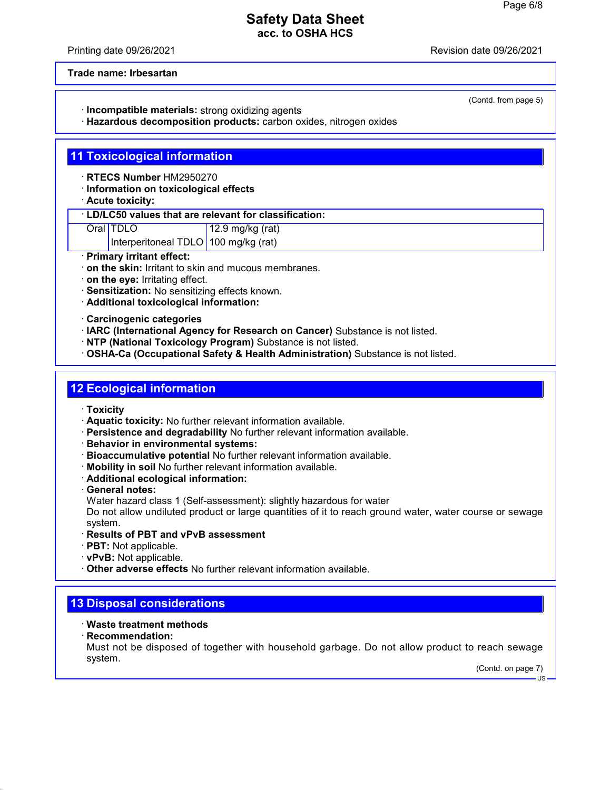Printing date 09/26/2021 Revision date 09/26/2021

(Contd. from page 5)

**Trade name: Irbesartan**

· **Incompatible materials:** strong oxidizing agents

· **Hazardous decomposition products:** carbon oxides, nitrogen oxides

### **11 Toxicological information**

· **RTECS Number** HM2950270

· **Information on toxicological effects**

· **Acute toxicity:**

#### · **LD/LC50 values that are relevant for classification:**

Oral TDLO 12.9 mg/kg (rat)

Interperitoneal TDLO 100 mg/kg (rat)

- · **Primary irritant effect:**
- · **on the skin:** Irritant to skin and mucous membranes.
- · **on the eye:** Irritating effect.
- · **Sensitization:** No sensitizing effects known.

· **Additional toxicological information:**

· **Carcinogenic categories**

· **IARC (International Agency for Research on Cancer)** Substance is not listed.

- · **NTP (National Toxicology Program)** Substance is not listed.
- · **OSHA-Ca (Occupational Safety & Health Administration)** Substance is not listed.

#### **12 Ecological information**

- · **Toxicity**
- · **Aquatic toxicity:** No further relevant information available.
- · **Persistence and degradability** No further relevant information available.
- · **Behavior in environmental systems:**
- · **Bioaccumulative potential** No further relevant information available.
- · **Mobility in soil** No further relevant information available.
- · **Additional ecological information:**
- · **General notes:**

Water hazard class 1 (Self-assessment): slightly hazardous for water

Do not allow undiluted product or large quantities of it to reach ground water, water course or sewage system.

- · **Results of PBT and vPvB assessment**
- · **PBT:** Not applicable.
- · **vPvB:** Not applicable.
- · **Other adverse effects** No further relevant information available.

### **13 Disposal considerations**

#### · **Waste treatment methods**

· **Recommendation:**

Must not be disposed of together with household garbage. Do not allow product to reach sewage system.

(Contd. on page 7)

US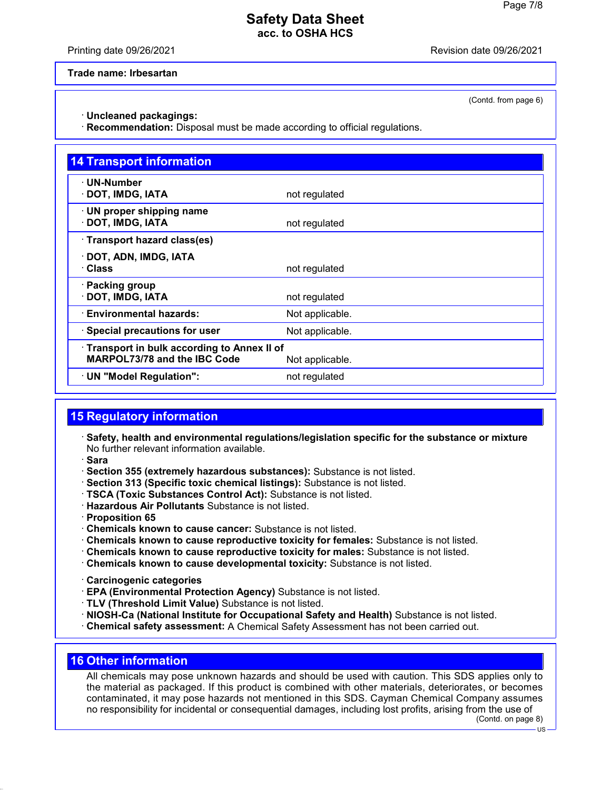Printing date 09/26/2021 Revision date 09/26/2021

(Contd. from page 6)

**Trade name: Irbesartan**

· **Uncleaned packagings:**

· **Recommendation:** Disposal must be made according to official regulations.

| <b>14 Transport information</b>                                                   |                 |
|-----------------------------------------------------------------------------------|-----------------|
| · UN-Number<br>DOT, IMDG, IATA                                                    | not regulated   |
| $\cdot$ UN proper shipping name<br>DOT, IMDG, IATA                                | not regulated   |
| · Transport hazard class(es)                                                      |                 |
| DOT, ADN, IMDG, IATA<br>· Class                                                   | not regulated   |
| · Packing group<br>DOT, IMDG, IATA                                                | not regulated   |
| · Environmental hazards:                                                          | Not applicable. |
| $\cdot$ Special precautions for user                                              | Not applicable. |
| Transport in bulk according to Annex II of<br><b>MARPOL73/78 and the IBC Code</b> | Not applicable. |
| · UN "Model Regulation":                                                          | not regulated   |

### **15 Regulatory information**

- · **Safety, health and environmental regulations/legislation specific for the substance or mixture** No further relevant information available.
- · **Sara**
- · **Section 355 (extremely hazardous substances):** Substance is not listed.
- · **Section 313 (Specific toxic chemical listings):** Substance is not listed.
- · **TSCA (Toxic Substances Control Act):** Substance is not listed.
- · **Hazardous Air Pollutants** Substance is not listed.
- · **Proposition 65**
- · **Chemicals known to cause cancer:** Substance is not listed.
- · **Chemicals known to cause reproductive toxicity for females:** Substance is not listed.
- · **Chemicals known to cause reproductive toxicity for males:** Substance is not listed.
- · **Chemicals known to cause developmental toxicity:** Substance is not listed.
- · **Carcinogenic categories**
- · **EPA (Environmental Protection Agency)** Substance is not listed.
- · **TLV (Threshold Limit Value)** Substance is not listed.
- · **NIOSH-Ca (National Institute for Occupational Safety and Health)** Substance is not listed.
- · **Chemical safety assessment:** A Chemical Safety Assessment has not been carried out.

### **16 Other information**

All chemicals may pose unknown hazards and should be used with caution. This SDS applies only to the material as packaged. If this product is combined with other materials, deteriorates, or becomes contaminated, it may pose hazards not mentioned in this SDS. Cayman Chemical Company assumes no responsibility for incidental or consequential damages, including lost profits, arising from the use of

(Contd. on page 8)